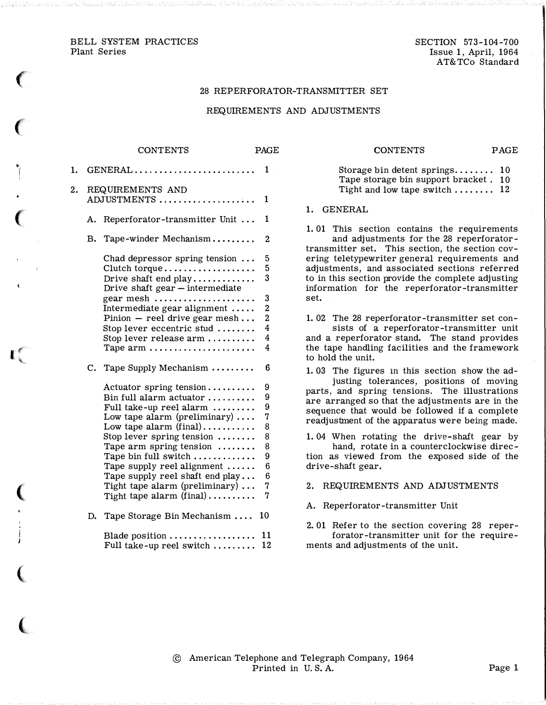BELL SYSTEM PRACTICES Plant Series

 $\big($ 

 $\epsilon$ 

to i

 $\big($ 

I.

 $\big($ 

(

 $\overline{\mathcal{C}}$ 

SECTION 573-104-700 Issue 1, April, 1964 AT&TCo Standard

#### 28 REPERFORATOR-TRANSMITTER SET

#### REQUIREMENTS AND ADJUSTMENTS

# CONTENTS PAGE 1. GENERAL . . . . . . . . . . . . . . . . . . . . . . . . . 1 2. REQUIREMENTS AND ADJUSTMENTS .................... 1 A. Reperforator-transmitter Unit ... 1 B. Tape-winder Mechanism......... 2 Chad depressor spring tension ... 5 Clutch torque . . . . . . . . . . . . . . . . . . 5 Drive shaft end play ............. 3 Drive shaft gear  $-$  intermediate gear mesh . . . . . . . . . . . . . . . . . . . . . 3 Intermediate gear alignment ..... 2 Pinion  $-$  reel drive gear mesh... 2 Stop lever eccentric stud ........ 4 Stop lever release arm . . . . . . . . . . 4 Tape arm  $\dots \dots \dots \dots \dots \dots$ C. Tape Supply Mechanism ......... 6 Actuator spring tension . . . . . . . . . 9 Bin full alarm actuator  $\dots \dots \dots$  9 Full take-up reel alarm  $\dots\dots\dots$  9 Low tape alarm (preliminary) . . . . 7<br>Low tape alarm (final) . . . . . . . . . . 8 Stop lever spring tension ........ 8 Tape arm spring tension ........ 8 Tape bin full switch  $\dots$   $\dots$   $\dots$  . . . . . 9 Tape supply reel alignment ...... Tape supply reel shaft end play ... 6 Tight tape alarm (preliminary) . . . 7 Tight tape alarm (final) . . . . . . . . . . 7 D. Tape Storage Bin Mechanism .... 10 Blade position  $\dots \dots \dots \dots \dots \dots 11$ Full take-up reel switch ......... 12

#### CONTENTS PAGE

Storage bin detent springs........ 10 Tape storage bin support bracket . <sup>10</sup> Tight and low tape switch  $\dots$  . . . . . . 12

1. GENERAL

1. 01 This section contains the requirements and adjustments for the 28 reperforatortransmitter set. This section, the section covering teletypewriter general requirements and adjustments, and associated sections referred to in this section provide the complete adjusting information for the reperforator-transmitter set.

1. 02 The 28 reperforator-transmitter set con-

sists of a reperforator-transmitter unit and a reperforator stand. The stand provides the tape handling facilities and the framework to hold the unit.

1. 03 The figures in this section show the adjusting tolerances, positions of moving parts, and spring tensions. The illustrations are arranged so that the adjustments are in the sequence that would be followed if a complete readjustment of the apparatus were being made.

1. 04 When rotating the drive-shaft gear by hand, rotate in a counterclockwise direction as viewed from the exposed side of the drive-shaft gear.

2. REQUIREMENTS AND ADJUSTMENTS

A. Reperforator-transmitter Unit

2. 01 Refer to the section covering 28 reperforator-transmitter unit for the requirements and adjustments of the unit.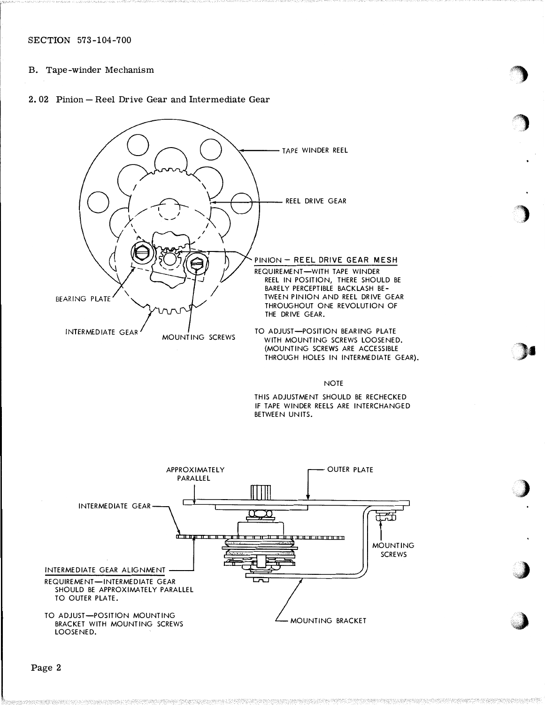# B. Tape-winder Mechanism

#### 2. 02 Pinion- Reel Drive Gear and Intermediate Gear



NOTE

:>•

.,)

•.:{)

:\. ' " where you can see the second the second second the second second second second second second second second second second second second second second second second second second second second second second second second

THIS ADJUSTMENT SHOULD BE RECHECKED IF TAPE WINDER REELS ARE INTERCHANGED BETWEEN UNITS.

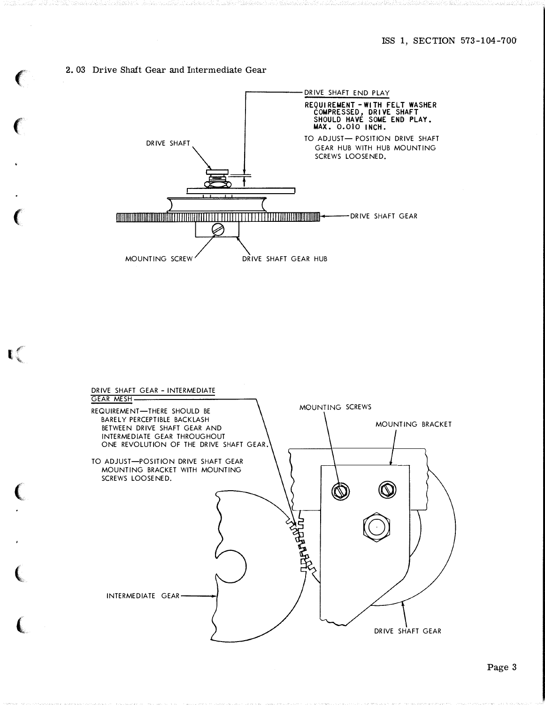#### 2.03 Drive Shait Gear and Intermediate Gear

 $\big($ 

 $\epsilon$ 

 $\mathbf{C}$ 

 $\big($ 

 $\big($ 

 $\big($ 



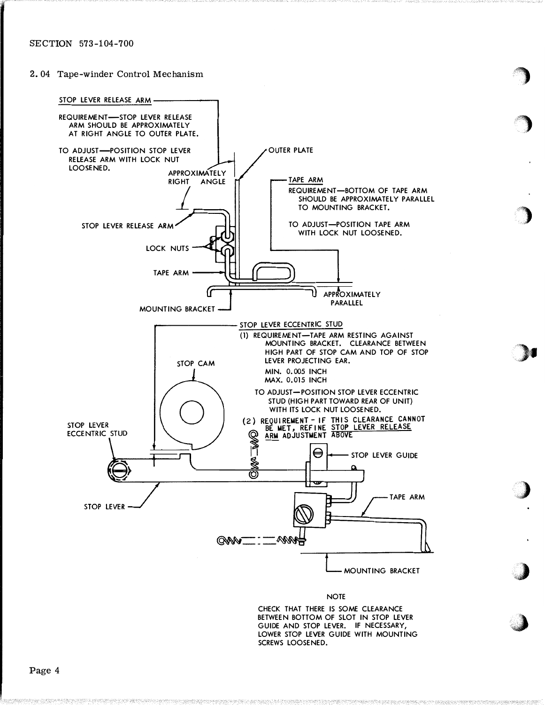2. 04 Tape-winder Control Mechanism



#### NOTE

change of the state of the state of the state of the state of the state of

)

c: 's a state of the control of the con-

where the property of the control of the control of the control of the control of the control of the control of the control of the control of the control of the control of the control of the control of the control of the c

,�)

'� , John Stewart (1980) and the state of the state of the state of the state of the state of the state of the state of the state of the state of the state of the state of the state of the state of the state of the state of t

CHECK THAT THERE IS SOME CLEARANCE BETWEEN BOTTOM OF SLOT IN STOP LEVER GUIDE AND STOP LEVER. IF NECESSARY, LOWER STOP LEVER GUIDE WITH MOUNTING SCREWS LOOSENED.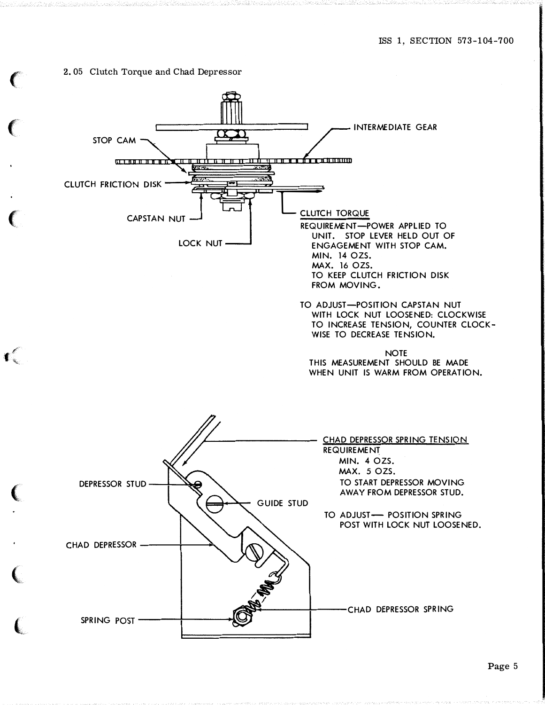#### 2. 05 Clutch Torque and Chad Depressor

 $\cdot$   $\cdot$ 

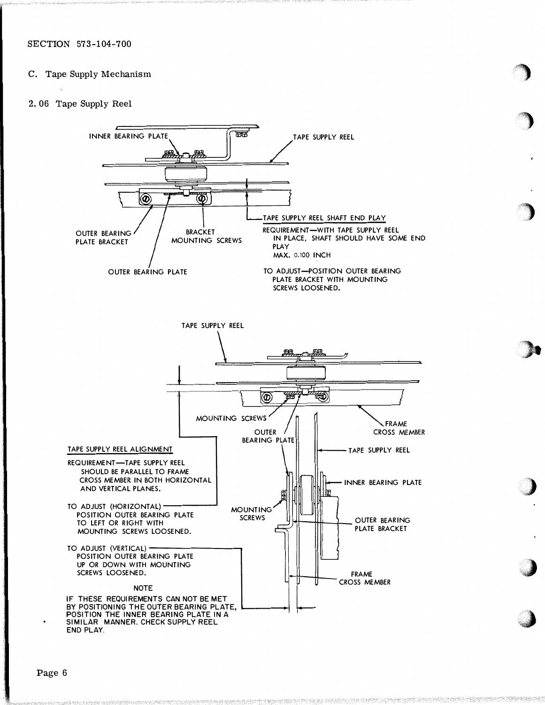# C. Tape Supply Mechanism

## 2. 06 Tape Supply Reel



.. video and the contract of the contract of the contract of the contract of the contract of the contract of the contract of the contract of the contract of the contract of the contract of the contract of the contract of the . ·•·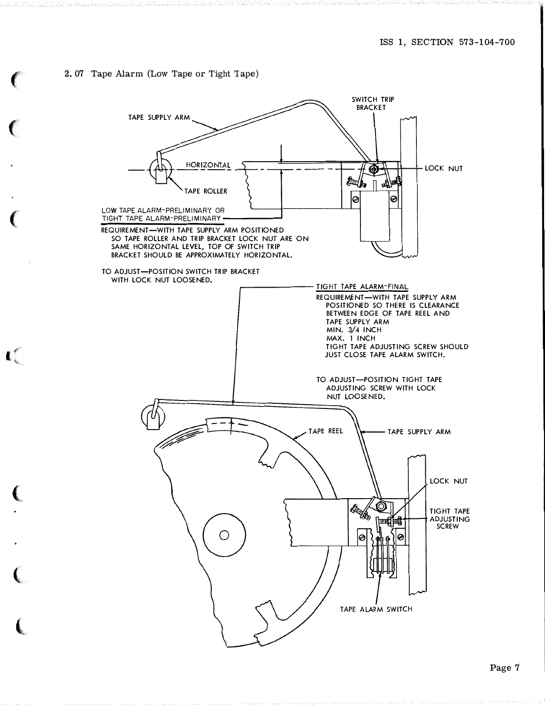### 2. 07 Tape Alarm (Low Tape or Tight Tape)

 $\blacksquare$ 

 $\sim$ 

 $\sim$   $\sim$   $\sim$ 

 ${\cal L}$  and  ${\cal L}$  and  ${\cal L}$  and  ${\cal L}$ 

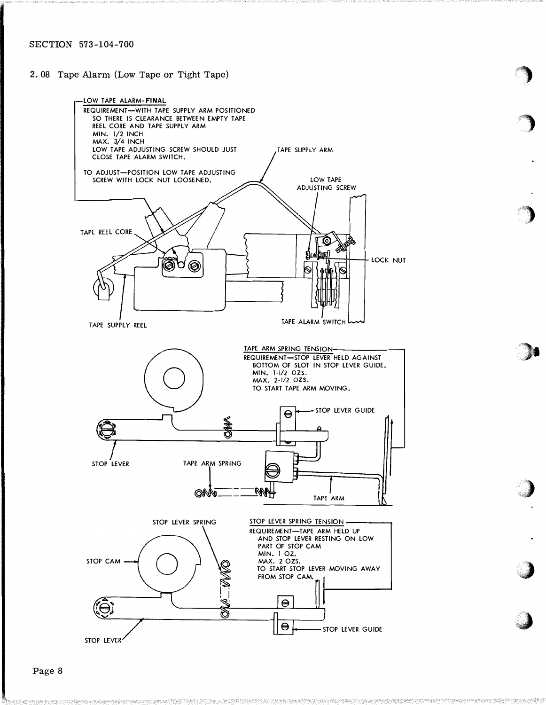## 2. 08 Tape Alarm (Low Tape or Tight Tape)



"'

Page 8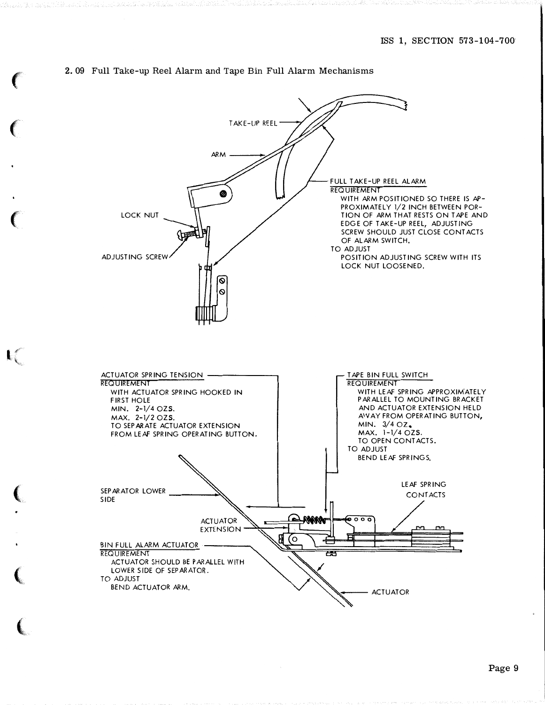# 2. 09 Full Take-up Reel Alarm and Tape Bin Full Alarm Mechanisms

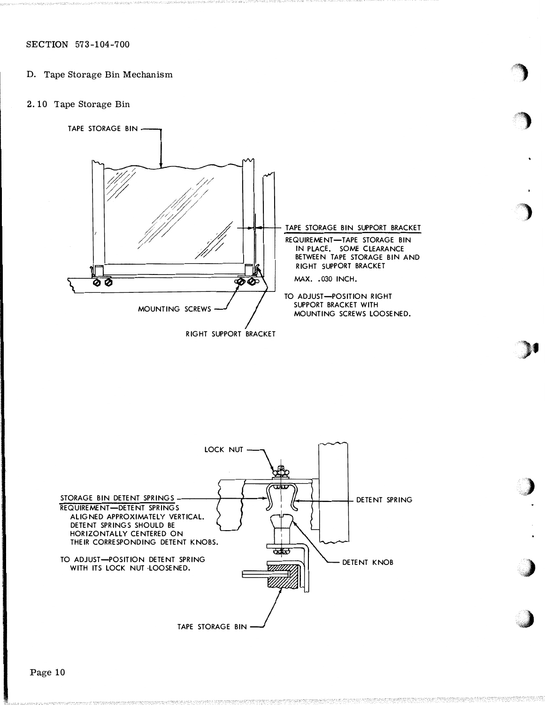- D. Tape Storage Bin Mechanism
- 2. 10 Tape Storage Bin



)t

**Construction of the construction of the construction of the construction of the construction of the construction** 

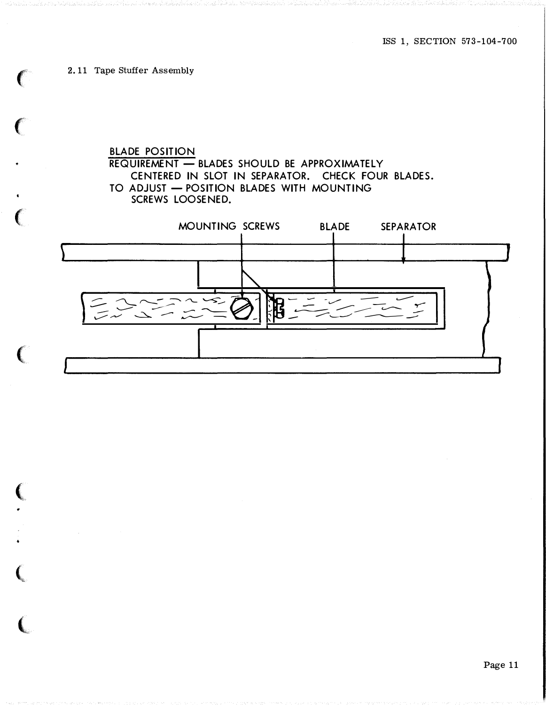2. 11 Tape Stuffer Assembly

 $\big($ 

 $\epsilon$ 

 $\epsilon$ 

 $\left($ 

 $\overline{(\ }$ 

�

•

 $\boldsymbol{\zeta}$ 

 $\overline{\mathbf{C}}$ 

# BLADE POSITION  $R$ EQUIREMENT  $-$  BLADES SHOULD BE APPROXIMATELY CENTERED IN SLOT IN SEPARATOR. CHECK FOUR BLADES. TO ADJUST - POSITION BLADES WITH MOUNTING SCREWS LOOSENED.



Page 11